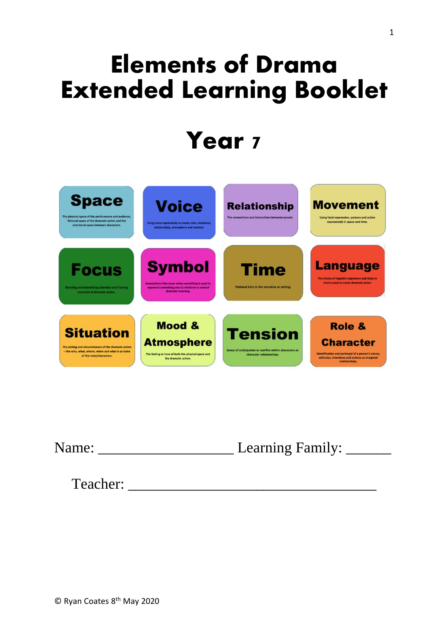# **Elements of Drama Extended Learning Booklet**

# **Year 7**



Name: \_\_\_\_\_\_\_\_\_\_\_\_\_\_\_\_\_\_ Learning Family: \_\_\_\_\_\_

Teacher: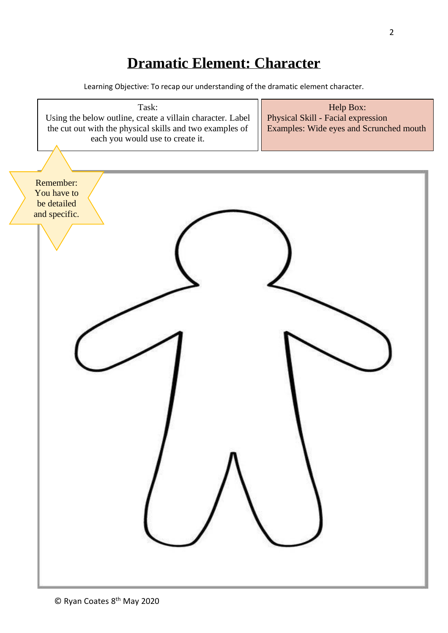### **Dramatic Element: Character**

Learning Objective: To recap our understanding of the dramatic element character.

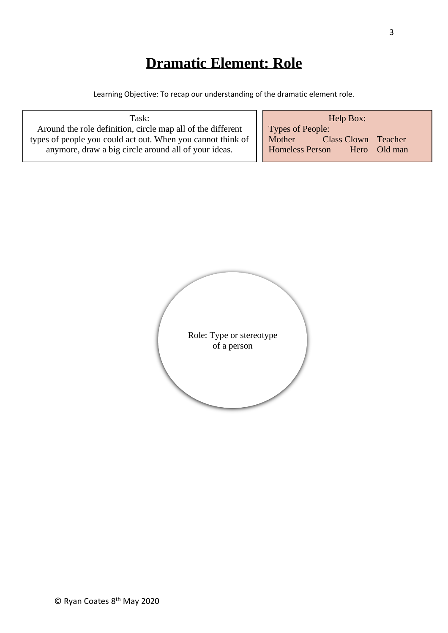# **Dramatic Element: Role**

Learning Objective: To recap our understanding of the dramatic element role.

| Task:                                                       | Help Box:                              |
|-------------------------------------------------------------|----------------------------------------|
| Around the role definition, circle map all of the different | Types of People:                       |
| types of people you could act out. When you cannot think of | <b>Class Clown Teacher</b><br>Mother   |
| anymore, draw a big circle around all of your ideas.        | <b>Homeless Person</b><br>Hero Old man |
|                                                             |                                        |

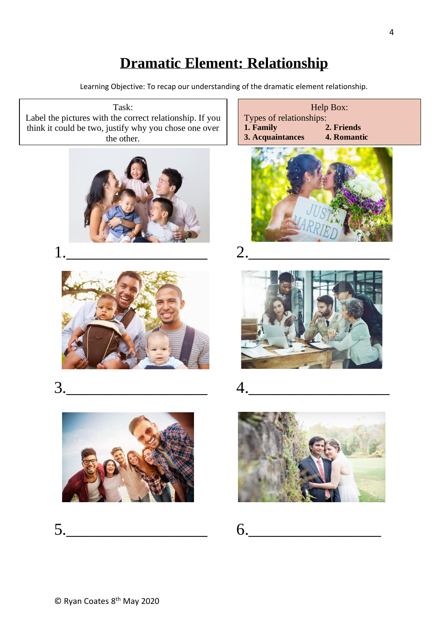#### **Dramatic Element: Relationship**

Learning Objective: To recap our understanding of the dramatic element relationship.

Task: Label the pictures with the correct relationship. If you think it could be two, justify why you chose one over the other.







 $5.$  6.











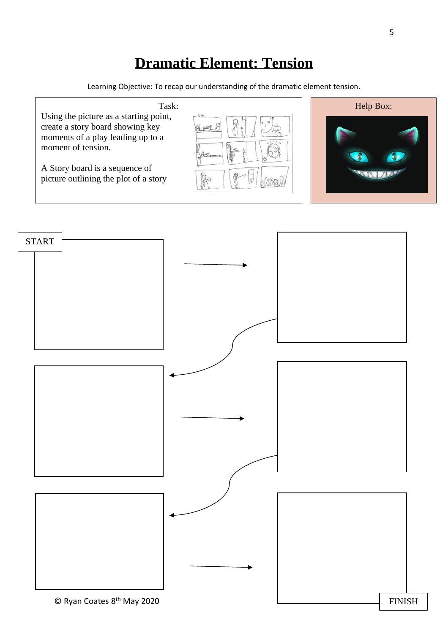## **Dramatic Element: Tension**

Learning Objective: To recap our understanding of the dramatic element tension.



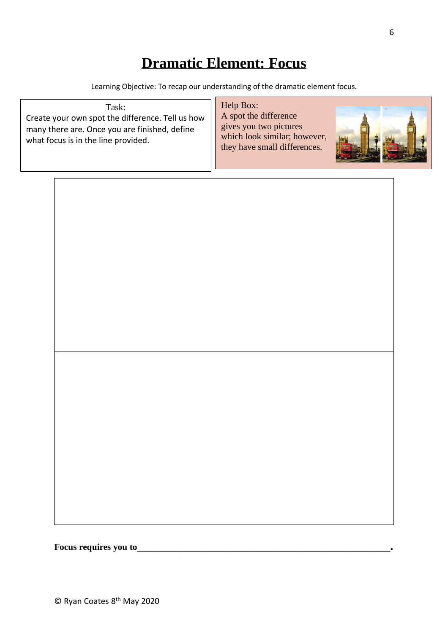### **Dramatic Element: Focus**

Learning Objective: To recap our understanding of the dramatic element focus.

| Task:<br>Create your own spot the difference. Tell us how<br>many there are. Once you are finished, define<br>what focus is in the line provided. | Help Box:<br>A spot the difference<br>gives you two pictures<br>which look similar; however,<br>they have small differences. |
|---------------------------------------------------------------------------------------------------------------------------------------------------|------------------------------------------------------------------------------------------------------------------------------|
|---------------------------------------------------------------------------------------------------------------------------------------------------|------------------------------------------------------------------------------------------------------------------------------|

**Focus requires you to\_\_\_\_\_\_\_\_\_\_\_\_\_\_\_\_\_\_\_\_\_\_\_\_\_\_\_\_\_\_\_\_\_\_\_\_\_\_\_\_\_\_.**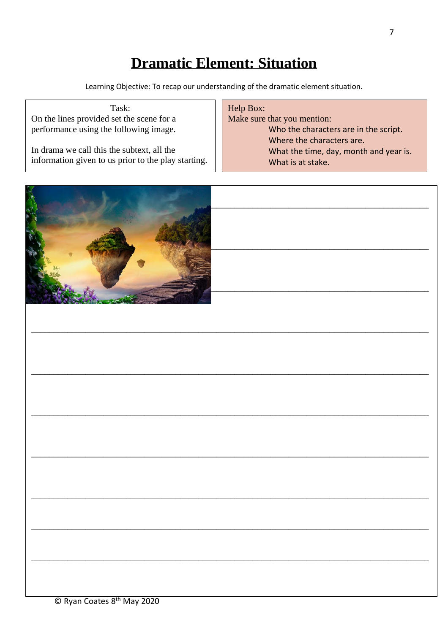## **Dramatic Element: Situation**

Learning Objective: To recap our understanding of the dramatic element situation.

| Task:                                               | Help Box:                              |
|-----------------------------------------------------|----------------------------------------|
| On the lines provided set the scene for a           | Make sure that you mention:            |
| performance using the following image.              | Who the characters are in the script.  |
|                                                     | Where the characters are.              |
| In drama we call this the subtext, all the          | What the time, day, month and year is. |
| information given to us prior to the play starting. | What is at stake.                      |
|                                                     |                                        |
|                                                     |                                        |

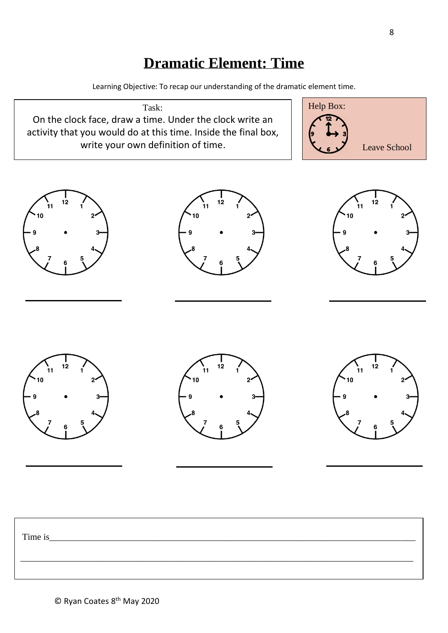#### **Dramatic Element: Time**

Learning Objective: To recap our understanding of the dramatic element time.

Task: On the clock face, draw a time. Under the clock write an activity that you would do at this time. Inside the final box, write your own definition of time.















| Time is |  |  |
|---------|--|--|
|         |  |  |
|         |  |  |
|         |  |  |
|         |  |  |
|         |  |  |
|         |  |  |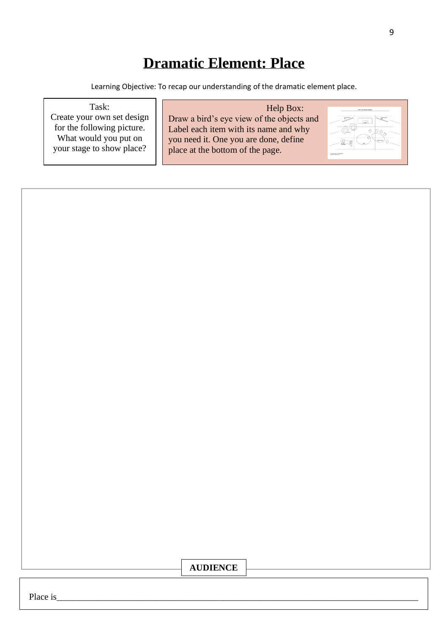# **Dramatic Element: Place**

Learning Objective: To recap our understanding of the dramatic element place.

| Task:<br>Create your own set design<br>for the following picture. | Help Box:<br>Draw a bird's eye view of the objects and<br>Label each item with its name and why |  |
|-------------------------------------------------------------------|-------------------------------------------------------------------------------------------------|--|
| What would you put on<br>your stage to show place?                | you need it. One you are done, define<br>place at the bottom of the page.                       |  |



th May 2020

© Ryan Coates 8 Place is\_\_\_\_\_\_\_\_\_\_\_\_\_\_\_\_\_\_\_\_\_\_\_\_\_\_\_\_\_\_\_\_\_\_\_\_\_\_\_\_\_\_\_\_\_\_\_\_\_\_\_\_\_\_\_\_\_\_\_\_\_\_\_\_\_\_\_\_\_\_\_\_\_\_\_\_\_\_\_\_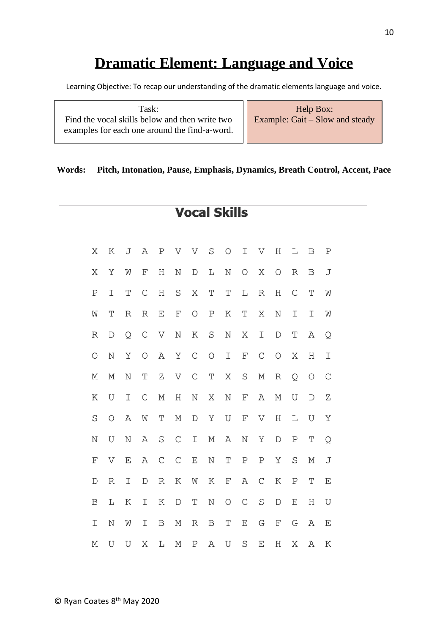# **Dramatic Element: Language and Voice**

Learning Objective: To recap our understanding of the dramatic elements language and voice.

| Task:                                                             |  |
|-------------------------------------------------------------------|--|
| Find the vocal skills below and then write two $\left  \right $ E |  |
| examples for each one around the find-a-word. $\ \cdot\ $         |  |
|                                                                   |  |

Help Box: Example: Gait  $\overline{\phantom{a}}$  Slow and steady

#### **Words: Pitch, Intonation, Pause, Emphasis, Dynamics, Breath Control, Accent, Pace**

**Vocal Skills** 

| Χ           | K                | J | A           | $\mathbf P$      | V                     | V             | S                | $\bigcirc$  | I                  | V           | Η           | Г                | $\, {\bf B}$ | $\, {\bf P}$  |
|-------------|------------------|---|-------------|------------------|-----------------------|---------------|------------------|-------------|--------------------|-------------|-------------|------------------|--------------|---------------|
| Χ           | Υ                | W | $\mathbf F$ | Η                | N                     | $\mathbb D$   | L                | N           | $\bigcirc$         | Χ           | О           | R                | B            | J             |
| ${\bf P}$   | I                | Τ | $\mathsf C$ | Η                | S                     | Χ             | Τ                | Τ           | L                  | $\mathbb R$ | Η           | $\mathsf C$      | Τ            | W             |
| W           | T                | R | R           | E                | F                     | $\bigcirc$    | $\, {\mathbf P}$ | Κ           | Τ                  | Χ           | N           | I                | I            | W             |
| R           | $\mathbb D$      | Q | $\mathsf C$ | V                | $\rm N$               | Κ             | S                | N           | Χ                  | I           | $\mathbb D$ | Τ                | Α            | Q             |
| O           | N                | Υ | O           | Α                | Υ                     | $\mathsf C$   | $\bigcirc$       | I           | F                  | $\mathsf C$ | О           | Χ                | Η            | $\mathbbm{I}$ |
| Μ           | М                | N | T           | Ζ                | $\boldsymbol{\nabla}$ | $\mathsf C$   | $\mathbf T$      | Χ           | $\rm S$            | $\mathbb M$ | R           | Q                | $\bigcirc$   | $\mathsf C$   |
| Κ           | U                | I | $\mathsf C$ | Μ                | Η                     | N             | Χ                | N           | $\mathbf{F}% _{0}$ | Α           | $\mathbb M$ | U                | $\mathbb D$  | Ζ             |
| S           | $\circ$          | Α | W           | T                | $\mathbb M$           | $\mathbf D$   | Υ                | U           | $\mathbf F$        | V           | $\rm H$     | L                | U            | Υ             |
| N           | U                | N | Α           | $\rm S$          | $\mathsf C$           | $\mathbbm{I}$ | М                | Α           | $\rm N$            | Υ           | $\mathbb D$ | $\, {\bf P}$     | Τ            | Q             |
| F           | V                | E | Α           | $\mathcal{C}$    | $\mathsf C$           | E             | N                | Τ           | ${\bf P}$          | ${\bf P}$   | Υ           | S                | Μ            | J             |
| $\mathbb D$ | $\, {\mathbb R}$ | Ι | $\mathbb D$ | $\, {\mathbb R}$ | Κ                     | W             | Κ                | $\mathbf F$ | Α                  | С           | Κ           | $\, {\mathbb P}$ | Τ            | E             |
| B           | L                | Κ | I           | Κ                | $\mathbb D$           | T             | $\rm N$          | $\circ$     | $\mathsf C$        | $\rm S$     | $\mathbb D$ | E                | Η            | U             |
| I           | N                | W | I           | $\mathbf B$      | $\mathbb M$           | $\mathbb R$   | $\, {\bf B}$     | T           | E                  | G           | F           | G                | Α            | E             |
| М           | U                | U | Χ           | L                | Μ                     | Ρ             | Α                | U           | S                  | Ε           | Η           | Χ                | Α            | Κ             |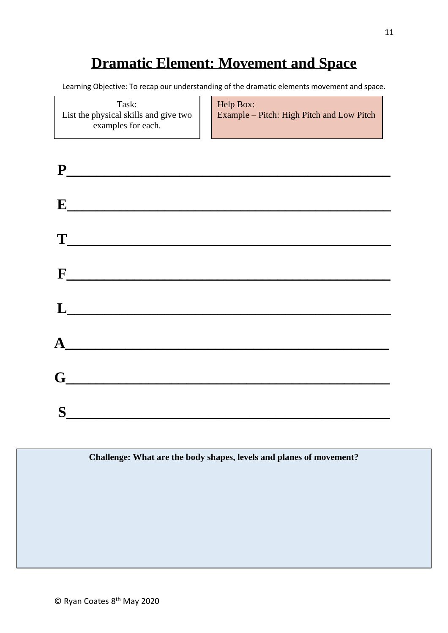### **Dramatic Element: Movement and Space**

Learning Objective: To recap our understanding of the dramatic elements movement and space.

Task: List the physical skills and give two examples for each.

Help Box: Example – Pitch: High Pitch and Low Pitch

| $\mathbf{E}$                                                                                                                                                                                                                                                                                                                                                                                                                                                        |  |
|---------------------------------------------------------------------------------------------------------------------------------------------------------------------------------------------------------------------------------------------------------------------------------------------------------------------------------------------------------------------------------------------------------------------------------------------------------------------|--|
| $\begin{tabular}{ c c c } \hline \multicolumn{1}{ c }{\textbf{T}} \multicolumn{1}{ c }{\textbf{T}} \multicolumn{1}{ c }{\textbf{T}} \multicolumn{1}{ c }{\textbf{T}} \multicolumn{1}{ c }{\textbf{T}} \multicolumn{1}{ c }{\textbf{T}} \multicolumn{1}{ c }{\textbf{T}} \multicolumn{1}{ c }{\textbf{T}} \multicolumn{1}{ c }{\textbf{T}} \multicolumn{1}{ c }{\textbf{T}} \multicolumn{1}{ c }{\textbf{T}} \multicolumn{1}{ c }{\textbf{T}} \multicolumn{1}{ c }{$ |  |
| $F$ and $F$ and $F$ and $F$ and $F$ and $F$ and $F$ and $F$ and $F$ and $F$ and $F$ and $F$ and $F$ and $F$ and $F$ and $F$ and $F$ and $F$ and $F$ and $F$ and $F$ and $F$ and $F$ and $F$ and $F$ and $F$ and $F$ and $F$ a                                                                                                                                                                                                                                       |  |
| $\begin{tabular}{ c c c c } \hline \quad \quad & \quad \quad & \quad \quad & \quad \quad \\ \hline \end{tabular}$                                                                                                                                                                                                                                                                                                                                                   |  |
| ${\bf A}$                                                                                                                                                                                                                                                                                                                                                                                                                                                           |  |
| $G$ and $G$ and $G$ and $G$ and $G$ and $G$ and $G$ and $G$ and $G$ and $G$ and $G$ and $G$ and $G$ and $G$ and $G$ and $G$ and $G$ and $G$ and $G$ and $G$ and $G$ and $G$ and $G$ and $G$ and $G$ and $G$ and $G$ and $G$ a                                                                                                                                                                                                                                       |  |
| S                                                                                                                                                                                                                                                                                                                                                                                                                                                                   |  |

**Challenge: What are the body shapes, levels and planes of movement?**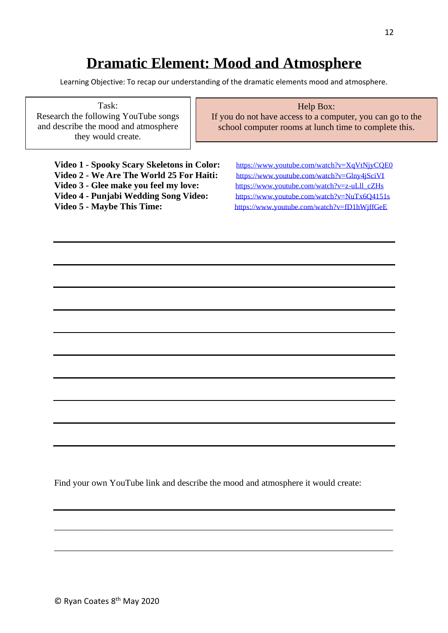#### **Dramatic Element: Mood and Atmosphere**

Learning Objective: To recap our understanding of the dramatic elements mood and atmosphere.

Task: Research the following YouTube songs and describe the mood and atmosphere they would create.

#### Help Box:

If you do not have access to a computer, you can go to the school computer rooms at lunch time to complete this.

**Video 1 - Spooky Scary Skeletons in Color:** <https://www.youtube.com/watch?v=XqVtNjyCQE0> **Video 2 - We Are The World 25 For Haiti:** <https://www.youtube.com/watch?v=Glny4jSciVI> Video 3 - Glee make you feel my love: [https://www.youtube.com/watch?v=z-uLll\\_cZHs](https://www.youtube.com/watch?v=z-uLll_cZHs) **Video 4 - Punjabi Wedding Song Video:** <https://www.youtube.com/watch?v=NuTx6Q4151s>

Video 5 - Maybe This Time: <https://www.youtube.com/watch?v=fD1hWjffGeE>

Find your own YouTube link and describe the mood and atmosphere it would create:

\_\_\_\_\_\_\_\_\_\_\_\_\_\_\_\_\_\_\_\_\_\_\_\_\_\_\_\_\_\_\_\_\_\_\_\_\_\_\_\_\_\_\_\_\_\_\_\_\_\_\_\_\_\_\_\_\_\_\_\_\_\_\_\_\_\_\_\_\_\_\_\_\_\_\_

\_\_\_\_\_\_\_\_\_\_\_\_\_\_\_\_\_\_\_\_\_\_\_\_\_\_\_\_\_\_\_\_\_\_\_\_\_\_\_\_\_\_\_\_\_\_\_\_\_\_\_\_\_\_\_\_\_\_\_\_\_\_\_\_\_\_\_\_\_\_\_\_\_\_\_